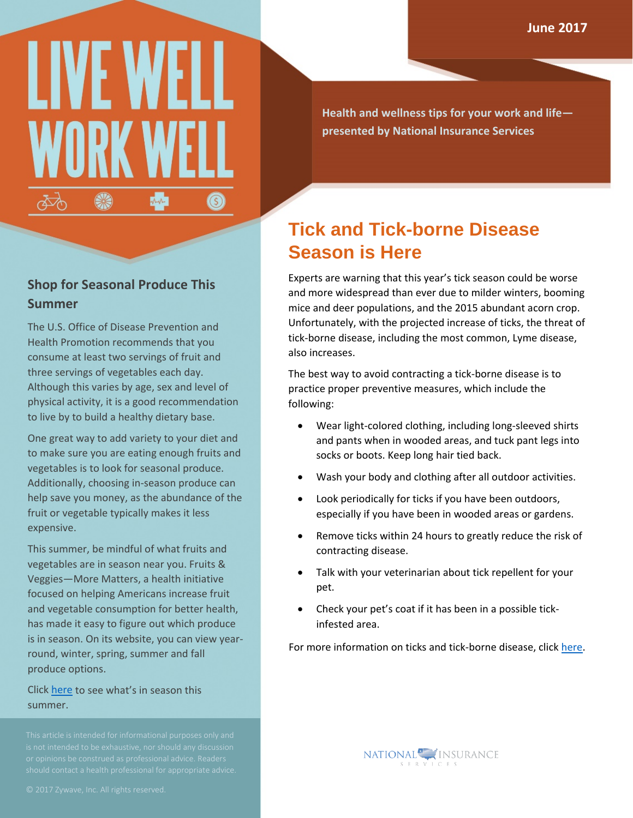# LIVE WE WORK W ❀ ᅑ  $\circledS$

**Health and wellness tips for your work and life presented by National Insurance Services**

## **Shop for Seasonal Produce This Summer**

The U.S. Office of Disease Prevention and Health Promotion recommends that you consume at least two servings of fruit and three servings of vegetables each day. Although this varies by age, sex and level of physical activity, it is a good recommendation to live by to build a healthy dietary base.

One great way to add variety to your diet and to make sure you are eating enough fruits and vegetables is to look for seasonal produce. Additionally, choosing in-season produce can help save you money, as the abundance of the fruit or vegetable typically makes it less expensive.

This summer, be mindful of what fruits and vegetables are in season near you. Fruits & Veggies—More Matters, a health initiative focused on helping Americans increase fruit and vegetable consumption for better health, has made it easy to figure out which produce is in season. On its website, you can view yearround, winter, spring, summer and fall produce options.

Click [here](http://www.fruitsandveggiesmorematters.org/whats-in-season-summer) to see what's in season this summer.

## **Tick and Tick-borne Disease Season is Here**

Experts are warning that this year's tick season could be worse and more widespread than ever due to milder winters, booming mice and deer populations, and the 2015 abundant acorn crop. Unfortunately, with the projected increase of ticks, the threat of tick-borne disease, including the most common, Lyme disease, also increases.

The best way to avoid contracting a tick-borne disease is to practice proper preventive measures, which include the following:

- Wear light-colored clothing, including long-sleeved shirts and pants when in wooded areas, and tuck pant legs into socks or boots. Keep long hair tied back.
- Wash your body and clothing after all outdoor activities.
- Look periodically for ticks if you have been outdoors, especially if you have been in wooded areas or gardens.
- Remove ticks within 24 hours to greatly reduce the risk of contracting disease.
- Talk with your veterinarian about tick repellent for your pet.
- Check your pet's coat if it has been in a possible tickinfested area.

For more information on ticks and tick-borne disease, click [here.](https://www.cdc.gov/ticks/)